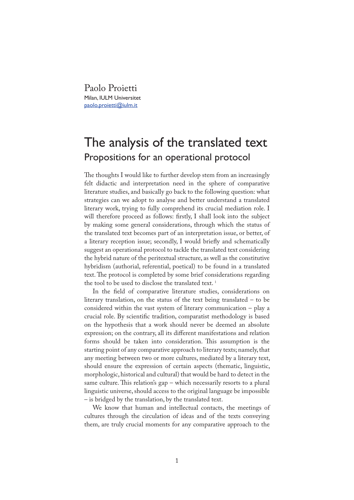Paolo Proietti Milan, IULM Universitet paolo.proietti@iulm.it

## The analysis of the translated text Propositions for an operational protocol

The thoughts I would like to further develop stem from an increasingly felt didactic and interpretation need in the sphere of comparative literature studies, and basically go back to the following question: what strategies can we adopt to analyse and better understand a translated literary work, trying to fully comprehend its crucial mediation role. I will therefore proceed as follows: firstly, I shall look into the subject by making some general considerations, through which the status of the translated text becomes part of an interpretation issue, or better, of a literary reception issue; secondly, I would briefly and schematically suggest an operational protocol to tackle the translated text considering the hybrid nature of the peritextual structure, as well as the constitutive hybridism (authorial, referential, poetical) to be found in a translated text. The protocol is completed by some brief considerations regarding the tool to be used to disclose the translated text.<sup>1</sup>

In the field of comparative literature studies, considerations on literary translation, on the status of the text being translated – to be considered within the vast system of literary communication – play a crucial role. By scienti�c tradition, comparatist methodology is based on the hypothesis that a work should never be deemed an absolute expression; on the contrary, all its different manifestations and relation forms should be taken into consideration. This assumption is the starting point of any comparative approach to literary texts; namely, that any meeting between two or more cultures, mediated by a literary text, should ensure the expression of certain aspects (thematic, linguistic, morphologic, historical and cultural) that would be hard to detect in the same culture. This relation's gap – which necessarily resorts to a plural linguistic universe, should access to the original language be impossible – is bridged by the translation, by the translated text.

We know that human and intellectual contacts, the meetings of cultures through the circulation of ideas and of the texts conveying them, are truly crucial moments for any comparative approach to the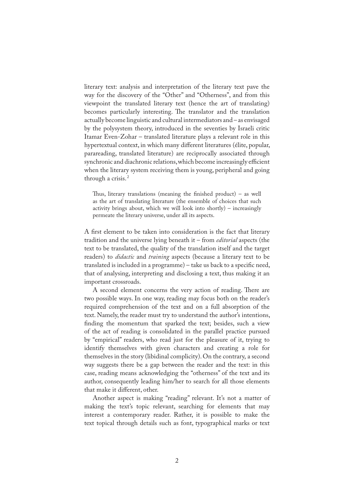literary text: analysis and interpretation of the literary text pave the way for the discovery of the "Other" and "Otherness", and from this viewpoint the translated literary text (hence the art of translating) becomes particularly interesting. The translator and the translation actually become linguistic and cultural intermediators and – as envisaged by the polysystem theory, introduced in the seventies by Israeli critic Itamar Even-Zohar – translated literature plays a relevant role in this hypertextual context, in which many different literatures (élite, popular, parareading, translated literature) are reciprocally associated through synchronic and diachronic relations, which become increasingly efficient when the literary system receiving them is young, peripheral and going through a crisis. 2

Thus, literary translations (meaning the finished product) – as well as the art of translating literature (the ensemble of choices that such activity brings about, which we will look into shortly) – increasingly permeate the literary universe, under all its aspects.

A first element to be taken into consideration is the fact that literary tradition and the universe lying beneath it – from *editorial* aspects (the text to be translated, the quality of the translation itself and the target readers) to *didactic* and *training* aspects (because a literary text to be translated is included in a programme) – take us back to a specific need, that of analysing, interpreting and disclosing a text, thus making it an important crossroads.

A second element concerns the very action of reading. There are two possible ways. In one way, reading may focus both on the reader's required comprehension of the text and on a full absorption of the text. Namely, the reader must try to understand the author's intentions, finding the momentum that sparked the text; besides, such a view of the act of reading is consolidated in the parallel practice pursued by "empirical" readers, who read just for the pleasure of it, trying to identify themselves with given characters and creating a role for themselves in the story (libidinal complicity). On the contrary, a second way suggests there be a gap between the reader and the text: in this case, reading means acknowledging the "otherness" of the text and its author, consequently leading him/her to search for all those elements that make it different, other.

Another aspect is making "reading" relevant. It's not a matter of making the text's topic relevant, searching for elements that may interest a contemporary reader. Rather, it is possible to make the text topical through details such as font, typographical marks or text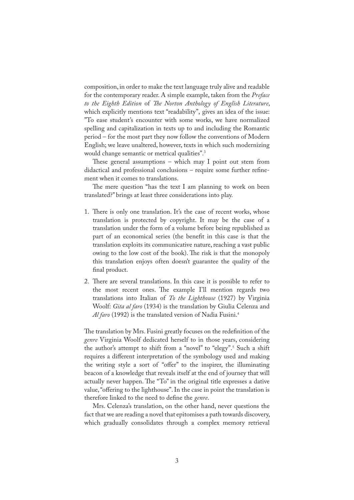composition, in order to make the text language truly alive and readable for the contemporary reader. A simple example, taken from the *Preface to the Eighth Edition* of *�e Norton Anthology of English Literature*, which explicitly mentions text "readability", gives an idea of the issue: "To ease student's encounter with some works, we have normalized spelling and capitalization in texts up to and including the Romantic period – for the most part they now follow the conventions of Modern English; we leave unaltered, however, texts in which such modernizing would change semantic or metrical qualities".3

These general assumptions – which may I point out stem from didactical and professional conclusions – require some further refinement when it comes to translations.

The mere question "has the text I am planning to work on been translated?" brings at least three considerations into play.

- 1. There is only one translation. It's the case of recent works, whose translation is protected by copyright. It may be the case of a translation under the form of a volume before being republished as part of an economical series (the bene�t in this case is that the translation exploits its communicative nature, reaching a vast public owing to the low cost of the book). The risk is that the monopoly this translation enjoys often doesn't guarantee the quality of the final product.
- 2. There are several translations. In this case it is possible to refer to the most recent ones. The example I'll mention regards two translations into Italian of *To the Lighthouse* (1927) by Virginia Woolf: *Gita al faro* (1934) is the translation by Giulia Celenza and *Al faro* (1992) is the translated version of Nadia Fusini.<sup>4</sup>

The translation by Mrs. Fusini greatly focuses on the redefinition of the *genre* Virginia Woolf dedicated herself to in those years, considering the author's attempt to shift from a "novel" to "elegy".<sup>5</sup> Such a shift requires a different interpretation of the symbology used and making the writing style a sort of "offer" to the inspirer, the illuminating beacon of a knowledge that reveals itself at the end of journey that will actually never happen. The "To" in the original title expresses a dative value, "offering to the lighthouse". In the case in point the translation is therefore linked to the need to de�ne the *genre*.

Mrs. Celenza's translation, on the other hand, never questions the fact that we are reading a novel that epitomises a path towards discovery, which gradually consolidates through a complex memory retrieval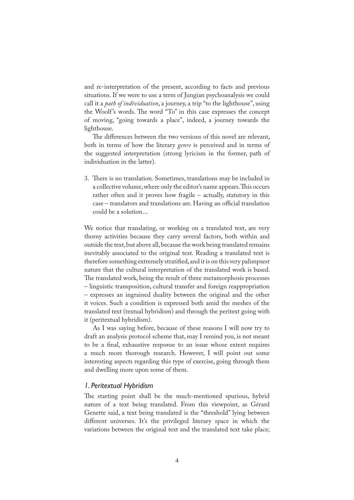and re-interpretation of the present, according to facts and previous situations. If we were to use a term of Jungian psychoanalysis we could call it a *path of individuation*, a journey, a trip "to the lighthouse", using the Woolf's words. The word "To" in this case expresses the concept of moving, "going towards a place", indeed, a journey towards the lighthouse.

The differences between the two versions of this novel are relevant, both in terms of how the literary *genre* is perceived and in terms of the suggested interpretation (strong lyricism in the former, path of individuation in the latter).

3. There is no translation. Sometimes, translations may be included in a collective volume, where only the editor's name appears. This occurs rather often and it proves how fragile – actually, statutory in this case – translators and translations are. Having an official translation could be a solution...

We notice that translating, or working on a translated text, are very thorny activities because they carry several factors, both within and outside the text, but above all, because the work being translated remains inevitably associated to the original text. Reading a translated text is therefore something extremely stratified, and it is on this very palimpsest nature that the cultural interpretation of the translated work is based. �e translated work, being the result of three metamorphosis processes – linguistic transposition, cultural transfer and foreign reappropriation – expresses an ingrained duality between the original and the other it voices. Such a condition is expressed both amid the meshes of the translated text (textual hybridism) and through the peritext going with it (peritextual hybridism).

As I was saying before, because of these reasons I will now try to draft an analysis protocol scheme that, may I remind you, is not meant to be a �nal, exhaustive response to an issue whose extent requires a much more thorough research. However, I will point out some interesting aspects regarding this type of exercise, going through them and dwelling more upon some of them.

## *1. Peritextual Hybridism*

The starting point shall be the much-mentioned spurious, hybrid nature of a text being translated. From this viewpoint, as Gérard Genette said, a text being translated is the "threshold" lying between different universes. It's the privileged literary space in which the variations between the original text and the translated text take place;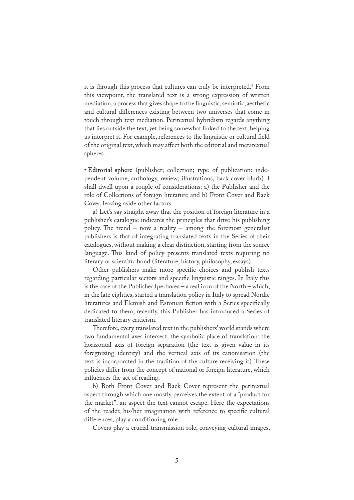it is through this process that cultures can truly be interpreted.<sup>6</sup> From this viewpoint, the translated text is a strong expression of written mediation, a process that gives shape to the linguistic, semiotic, aesthetic and cultural differences existing between two universes that come in touch through text mediation. Peritextual hybridism regards anything that lies outside the text, yet being somewhat linked to the text, helping us interpret it. For example, references to the linguistic or cultural �eld of the original text, which may affect both the editorial and metatextual spheres.

**• Editorial sphere** (publisher; collection; type of publication: independent volume, anthology, review; illustrations, back cover blurb). I shall dwell upon a couple of considerations: a) the Publisher and the role of Collections of foreign literature and b) Front Cover and Back Cover, leaving aside other factors.

a) Let's say straight away that the position of foreign literature in a publisher's catalogue indicates the principles that drive his publishing policy. The trend – now a reality – among the foremost generalist publishers is that of integrating translated texts in the Series of their catalogues, without making a clear distinction, starting from the source language. This kind of policy presents translated texts requiring no literary or scientific bond (literature, history, philosophy, essays).

Other publishers make more specific choices and publish texts regarding particular sectors and specific linguistic ranges. In Italy this is the case of the Publisher Iperborea – a real icon of the North – which, in the late eighties, started a translation policy in Italy to spread Nordic literatures and Flemish and Estonian fiction with a Series specifically dedicated to them; recently, this Publisher has introduced a Series of translated literary criticism.

Therefore, every translated text in the publishers' world stands where two fundamental axes intersect, the symbolic place of translation: the horizontal axis of foreign separation (the text is given value in its foregnizing identity) and the vertical axis of its canonisation (the text is incorporated in the tradition of the culture receiving it). These policies differ from the concept of national or foreign literature, which influences the act of reading.

b) Both Front Cover and Back Cover represent the peritextual aspect through which one mostly perceives the extent of a "product for the market", an aspect the text cannot escape. Here the expectations of the reader, his/her imagination with reference to specific cultural differences, play a conditioning role.

Covers play a crucial transmission role, conveying cultural images,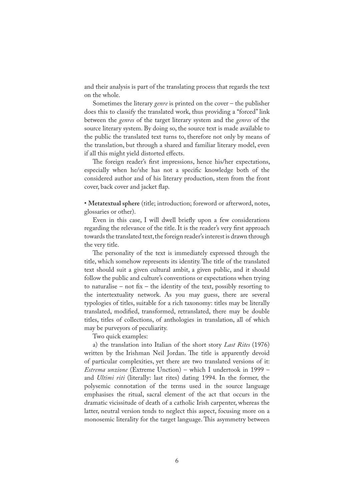and their analysis is part of the translating process that regards the text on the whole.

Sometimes the literary *genre* is printed on the cover – the publisher does this to classify the translated work, thus providing a "forced" link between the *genres* of the target literary system and the *genres* of the source literary system. By doing so, the source text is made available to the public the translated text turns to, therefore not only by means of the translation, but through a shared and familiar literary model, even if all this might yield distorted effects.

The foreign reader's first impressions, hence his/her expectations, especially when he/she has not a specific knowledge both of the considered author and of his literary production, stem from the front cover, back cover and jacket flap.

• **Metatextual sphere** (title; introduction; foreword or afterword, notes, glossaries or other).

Even in this case, I will dwell briefly upon a few considerations regarding the relevance of the title. It is the reader's very first approach towards the translated text, the foreign reader's interest is drawn through the very title.

The personality of the text is immediately expressed through the title, which somehow represents its identity. The title of the translated text should suit a given cultural ambit, a given public, and it should follow the public and culture's conventions or expectations when trying to naturalise – not fix – the identity of the text, possibly resorting to the intertextuality network. As you may guess, there are several typologies of titles, suitable for a rich taxonomy: titles may be literally translated, modi�ed, transformed, retranslated, there may be double titles, titles of collections, of anthologies in translation, all of which may be purveyors of peculiarity.

Two quick examples:

a) the translation into Italian of the short story *Last Rites* (1976) written by the Irishman Neil Jordan. The title is apparently devoid of particular complexities, yet there are two translated versions of it: *Estrema unzione* (Extreme Unction) – which I undertook in 1999 – and *Ultimi riti* (literally: last rites) dating 1994. In the former, the polysemic connotation of the terms used in the source language emphasises the ritual, sacral element of the act that occurs in the dramatic vicissitude of death of a catholic Irish carpenter, whereas the latter, neutral version tends to neglect this aspect, focusing more on a monosemic literality for the target language. This asymmetry between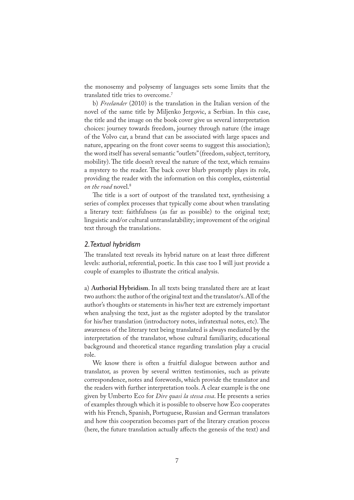the monosemy and polysemy of languages sets some limits that the translated title tries to overcome.7

b) *Freelander* (2010) is the translation in the Italian version of the novel of the same title by Miljenko Jergovic, a Serbian. In this case, the title and the image on the book cover give us several interpretation choices: journey towards freedom, journey through nature (the image of the Volvo car, a brand that can be associated with large spaces and nature, appearing on the front cover seems to suggest this association); the word itself has several semantic "outlets" (freedom, subject, territory, mobility). The title doesn't reveal the nature of the text, which remains a mystery to the reader. The back cover blurb promptly plays its role, providing the reader with the information on this complex, existential *on the road* novel.8

The title is a sort of outpost of the translated text, synthesising a series of complex processes that typically come about when translating a literary text: faithfulness (as far as possible) to the original text; linguistic and/or cultural untranslatability; improvement of the original text through the translations.

## *2. Textual hybridism*

�e translated text reveals its hybrid nature on at least three different levels: authorial, referential, poetic. In this case too I will just provide a couple of examples to illustrate the critical analysis.

a) **Authorial Hybridism**. In all texts being translated there are at least two authors: the author of the original text and the translator/s. All of the author's thoughts or statements in his/her text are extremely important when analysing the text, just as the register adopted by the translator for his/her translation (introductory notes, infratextual notes, etc). The awareness of the literary text being translated is always mediated by the interpretation of the translator, whose cultural familiarity, educational background and theoretical stance regarding translation play a crucial role.

We know there is often a fruitful dialogue between author and translator, as proven by several written testimonies, such as private correspondence, notes and forewords, which provide the translator and the readers with further interpretation tools. A clear example is the one given by Umberto Eco for *Dire quasi la stessa cosa*. He presents a series of examples through which it is possible to observe how Eco cooperates with his French, Spanish, Portuguese, Russian and German translators and how this cooperation becomes part of the literary creation process (here, the future translation actually affects the genesis of the text) and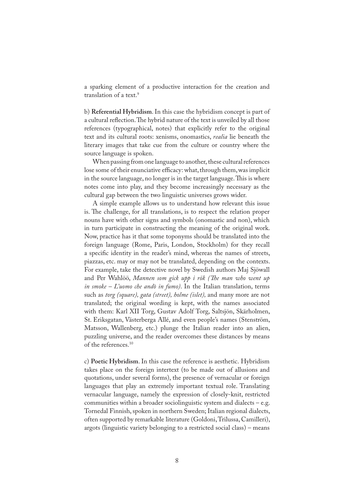a sparking element of a productive interaction for the creation and translation of a text.<sup>9</sup>

b) **Referential Hybridism**. In this case the hybridism concept is part of a cultural reflection. The hybrid nature of the text is unveiled by all those references (typographical, notes) that explicitly refer to the original text and its cultural roots: xenisms, onomastics, *realia* lie beneath the literary images that take cue from the culture or country where the source language is spoken.

When passing from one language to another, these cultural references lose some of their enunciative efficacy: what, through them, was implicit in the source language, no longer is in the target language. This is where notes come into play, and they become increasingly necessary as the cultural gap between the two linguistic universes grows wider.

A simple example allows us to understand how relevant this issue is. The challenge, for all translations, is to respect the relation proper nouns have with other signs and symbols (onomastic and non), which in turn participate in constructing the meaning of the original work. Now, practice has it that some toponyms should be translated into the foreign language (Rome, Paris, London, Stockholm) for they recall a specific identity in the reader's mind, whereas the names of streets, piazzas, etc. may or may not be translated, depending on the contexts. For example, take the detective novel by Swedish authors Maj Sjöwall and Per Wahlöö, *Mannen som gick upp i rök (�e man who went up in smoke – L'uomo che andò in fumo)*. In the Italian translation, terms such as *torg (square), gata (street), holme (islet),* and many more are not translated; the original wording is kept, with the names associated with them: Karl XII Torg, Gustav Adolf Torg, Saltsjön, Skärholmen, St. Eriksgatan, Västerberga Allé, and even people's names (Stenström, Matsson, Wallenberg, etc.) plunge the Italian reader into an alien, puzzling universe, and the reader overcomes these distances by means of the references.10

c) **Poetic Hybridism**. In this case the reference is aesthetic. Hybridism takes place on the foreign intertext (to be made out of allusions and quotations, under several forms), the presence of vernacular or foreign languages that play an extremely important textual role. Translating vernacular language, namely the expression of closely-knit, restricted communities within a broader sociolinguistic system and dialects  $-$  e.g. Tornedal Finnish, spoken in northern Sweden; Italian regional dialects, often supported by remarkable literature (Goldoni, Trilussa, Camilleri), argots (linguistic variety belonging to a restricted social class) – means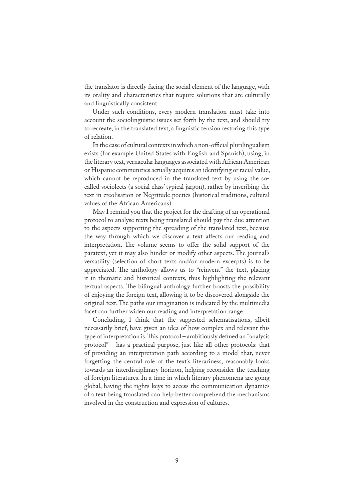the translator is directly facing the social element of the language, with its orality and characteristics that require solutions that are culturally and linguistically consistent.

Under such conditions, every modern translation must take into account the sociolinguistic issues set forth by the text, and should try to recreate, in the translated text, a linguistic tension restoring this type of relation.

In the case of cultural contexts in which a non-official plurilingualism exists (for example United States with English and Spanish), using, in the literary text, vernacular languages associated with African American or Hispanic communities actually acquires an identifying or racial value, which cannot be reproduced in the translated text by using the socalled sociolects (a social class' typical jargon), rather by inscribing the text in creolisation or Negritude poetics (historical traditions, cultural values of the African Americans).

May I remind you that the project for the drafting of an operational protocol to analyse texts being translated should pay the due attention to the aspects supporting the spreading of the translated text, because the way through which we discover a text affects our reading and interpretation. The volume seems to offer the solid support of the paratext, yet it may also hinder or modify other aspects. The journal's versatility (selection of short texts and/or modern excerpts) is to be appreciated. The anthology allows us to "reinvent" the text, placing it in thematic and historical contexts, thus highlighting the relevant textual aspects. The bilingual anthology further boosts the possibility of enjoying the foreign text, allowing it to be discovered alongside the original text. The paths our imagination is indicated by the multimedia facet can further widen our reading and interpretation range.

Concluding, I think that the suggested schematisations, albeit necessarily brief, have given an idea of how complex and relevant this type of interpretation is. This protocol – ambitiously defined an "analysis protocol" – has a practical purpose, just like all other protocols: that of providing an interpretation path according to a model that, never forgetting the central role of the text's literariness, reasonably looks towards an interdisciplinary horizon, helping reconsider the teaching of foreign literatures. In a time in which literary phenomena are going global, having the rights keys to access the communication dynamics of a text being translated can help better comprehend the mechanisms involved in the construction and expression of cultures.